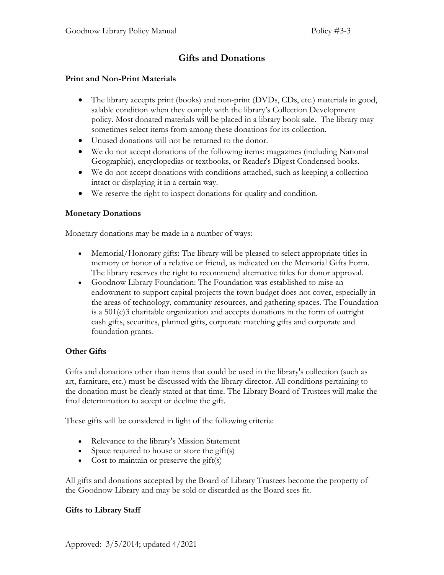# **Gifts and Donations**

#### **Print and Non-Print Materials**

- The library accepts print (books) and non-print (DVDs, CDs, etc.) materials in good, salable condition when they comply with the library's Collection Development policy. Most donated materials will be placed in a library book sale. The library may sometimes select items from among these donations for its collection.
- Unused donations will not be returned to the donor.
- We do not accept donations of the following items: magazines (including National Geographic), encyclopedias or textbooks, or Reader's Digest Condensed books.
- We do not accept donations with conditions attached, such as keeping a collection intact or displaying it in a certain way.
- We reserve the right to inspect donations for quality and condition.

#### **Monetary Donations**

Monetary donations may be made in a number of ways:

- Memorial/Honorary gifts: The library will be pleased to select appropriate titles in memory or honor of a relative or friend, as indicated on the Memorial Gifts Form. The library reserves the right to recommend alternative titles for donor approval.
- Goodnow Library Foundation: The Foundation was established to raise an endowment to support capital projects the town budget does not cover, especially in the areas of technology, community resources, and gathering spaces. The Foundation is a 501(c)3 charitable organization and accepts donations in the form of outright cash gifts, securities, planned gifts, corporate matching gifts and corporate and foundation grants.

### **Other Gifts**

Gifts and donations other than items that could be used in the library's collection (such as art, furniture, etc.) must be discussed with the library director. All conditions pertaining to the donation must be clearly stated at that time. The Library Board of Trustees will make the final determination to accept or decline the gift.

These gifts will be considered in light of the following criteria:

- Relevance to the library's Mission Statement
- Space required to house or store the gift(s)
- Cost to maintain or preserve the gift(s)

All gifts and donations accepted by the Board of Library Trustees become the property of the Goodnow Library and may be sold or discarded as the Board sees fit.

#### **Gifts to Library Staff**